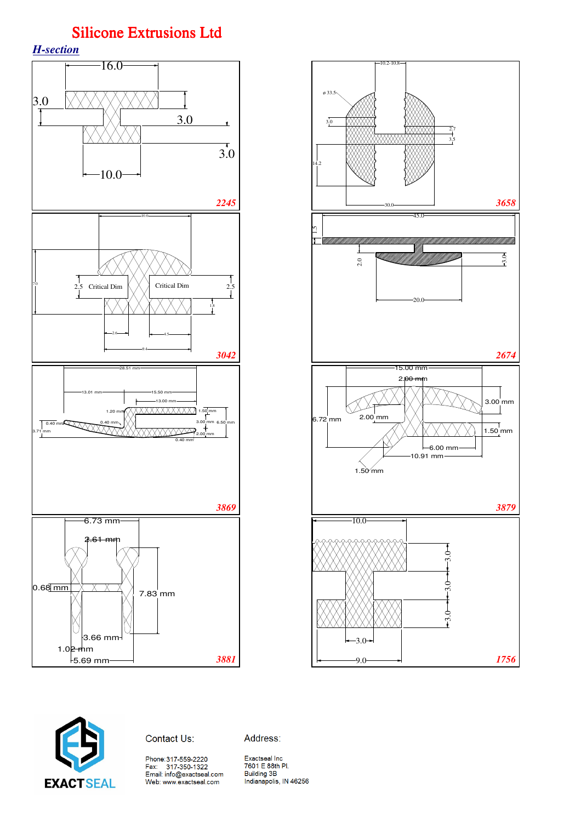







Address:

Phone: 317-559-2220

Exactseal Inc<br>7601 E 88th Pl.<br>Building 3B<br>Indianapolis, IN 46256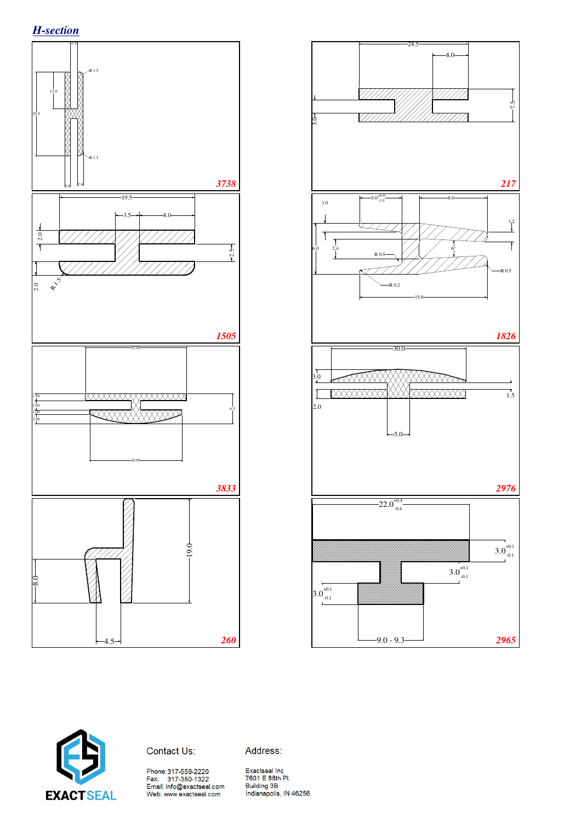





Contact Us:

Address:

Phone:317-559-2220<br>Fax: 317-350-1322<br>Email: info@exactseal.com Web: www.exactseal.com

Exactseal Inc<br>7601 E 88th Pl. Building 3B Indianapolis, IN 46256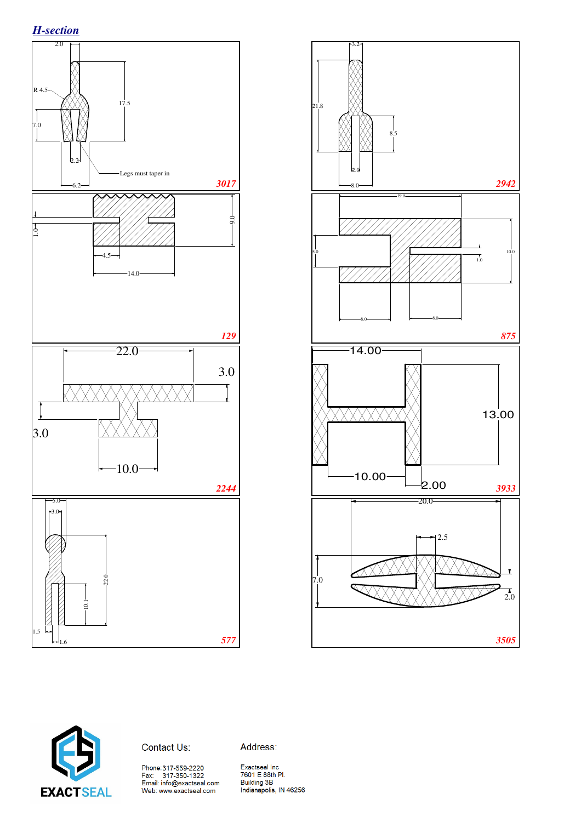





Contact Us:

Address:

Phone:317-559-2220<br>Fax: 317-350-1322<br>Email: info@exactseal.com<br>Web: www.exactseal.com

Exactseal Inc Exactsearme<br>7601 E 88th Pl.<br>Building 3B<br>Indianapolis, IN 46256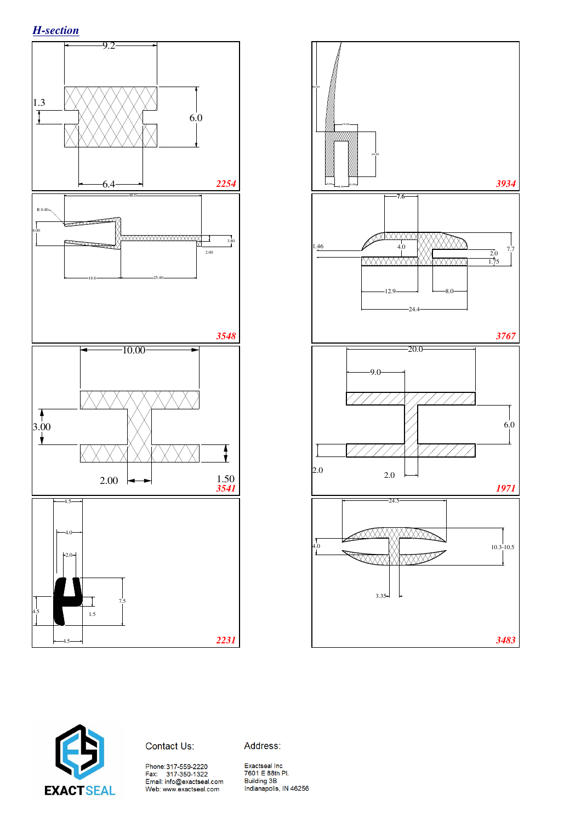





Contact Us:

Address:

Phone:317-559-2220<br>Fax: 317-350-1322<br>Email: info@exactseal.com<br>Web: www.exactseal.com

Exactseal Inc 2001 E 88th Pl.<br>Building 3B<br>Indianapolis, IN 46256